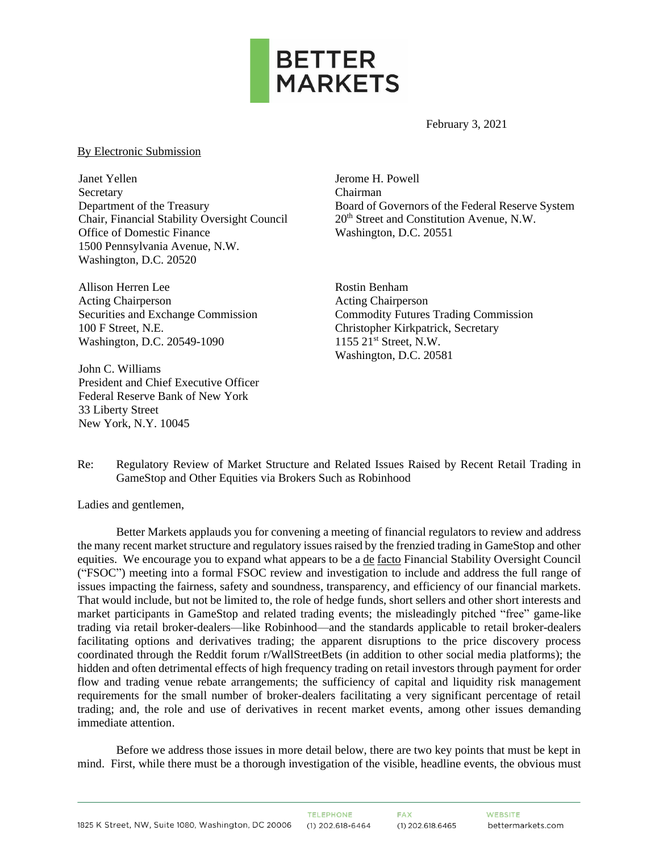

February 3, 2021

## By Electronic Submission

Janet Yellen **Secretary** Department of the Treasury Chair, Financial Stability Oversight Council Office of Domestic Finance 1500 Pennsylvania Avenue, N.W. Washington, D.C. 20520

Allison Herren Lee Acting Chairperson Securities and Exchange Commission 100 F Street, N.E. Washington, D.C. 20549-1090

John C. Williams President and Chief Executive Officer Federal Reserve Bank of New York 33 Liberty Street New York, N.Y. 10045

Jerome H. Powell Chairman Board of Governors of the Federal Reserve System 20th Street and Constitution Avenue, N.W. Washington, D.C. 20551

Rostin Benham Acting Chairperson Commodity Futures Trading Commission Christopher Kirkpatrick, Secretary 1155 21st Street, N.W. Washington, D.C. 20581

Re: Regulatory Review of Market Structure and Related Issues Raised by Recent Retail Trading in GameStop and Other Equities via Brokers Such as Robinhood

Ladies and gentlemen,

Better Markets applauds you for convening a meeting of financial regulators to review and address the many recent market structure and regulatory issues raised by the frenzied trading in GameStop and other equities. We encourage you to expand what appears to be a de facto Financial Stability Oversight Council ("FSOC") meeting into a formal FSOC review and investigation to include and address the full range of issues impacting the fairness, safety and soundness, transparency, and efficiency of our financial markets. That would include, but not be limited to, the role of hedge funds, short sellers and other short interests and market participants in GameStop and related trading events; the misleadingly pitched "free" game-like trading via retail broker-dealers—like Robinhood—and the standards applicable to retail broker-dealers facilitating options and derivatives trading; the apparent disruptions to the price discovery process coordinated through the Reddit forum r/WallStreetBets (in addition to other social media platforms); the hidden and often detrimental effects of high frequency trading on retail investors through payment for order flow and trading venue rebate arrangements; the sufficiency of capital and liquidity risk management requirements for the small number of broker-dealers facilitating a very significant percentage of retail trading; and, the role and use of derivatives in recent market events, among other issues demanding immediate attention.

Before we address those issues in more detail below, there are two key points that must be kept in mind. First, while there must be a thorough investigation of the visible, headline events, the obvious must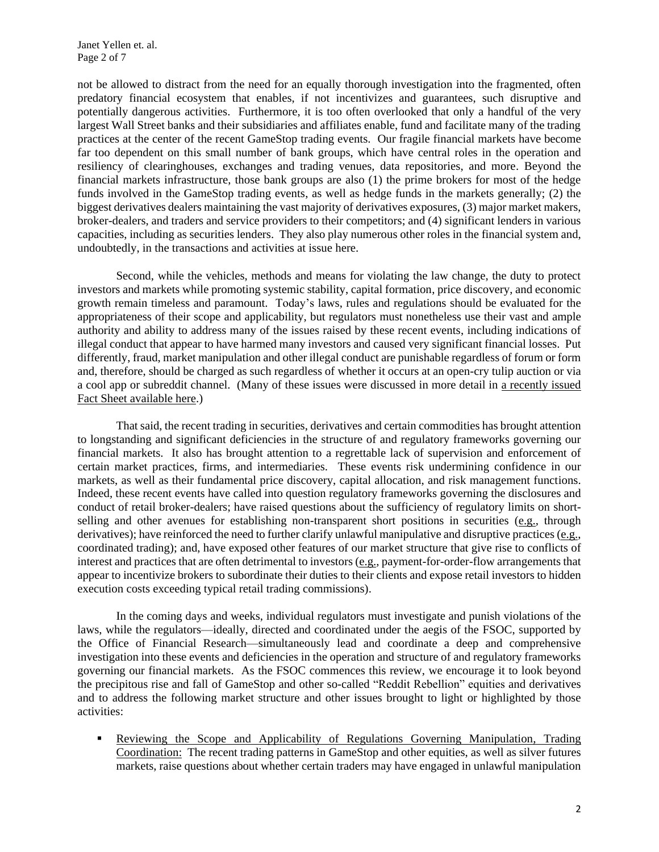not be allowed to distract from the need for an equally thorough investigation into the fragmented, often predatory financial ecosystem that enables, if not incentivizes and guarantees, such disruptive and potentially dangerous activities. Furthermore, it is too often overlooked that only a handful of the very largest Wall Street banks and their subsidiaries and affiliates enable, fund and facilitate many of the trading practices at the center of the recent GameStop trading events. Our fragile financial markets have become far too dependent on this small number of bank groups, which have central roles in the operation and resiliency of clearinghouses, exchanges and trading venues, data repositories, and more. Beyond the financial markets infrastructure, those bank groups are also (1) the prime brokers for most of the hedge funds involved in the GameStop trading events, as well as hedge funds in the markets generally; (2) the biggest derivatives dealers maintaining the vast majority of derivatives exposures, (3) major market makers, broker-dealers, and traders and service providers to their competitors; and (4) significant lenders in various capacities, including as securities lenders. They also play numerous other roles in the financial system and, undoubtedly, in the transactions and activities at issue here.

Second, while the vehicles, methods and means for violating the law change, the duty to protect investors and markets while promoting systemic stability, capital formation, price discovery, and economic growth remain timeless and paramount. Today's laws, rules and regulations should be evaluated for the appropriateness of their scope and applicability, but regulators must nonetheless use their vast and ample authority and ability to address many of the issues raised by these recent events, including indications of illegal conduct that appear to have harmed many investors and caused very significant financial losses. Put differently, fraud, market manipulation and other illegal conduct are punishable regardless of forum or form and, therefore, should be charged as such regardless of whether it occurs at an open-cry tulip auction or via a cool app or subreddit channel. (Many of these issues were discussed in more detail in [a recently issued](https://bettermarkets.com/sites/default/files/documents/Better_Markets_Reddit_Robinhood_Gamestop_RiggedMarkets_02-01-2021.pdf)  [Fact Sheet available here.](https://bettermarkets.com/sites/default/files/documents/Better_Markets_Reddit_Robinhood_Gamestop_RiggedMarkets_02-01-2021.pdf))

That said, the recent trading in securities, derivatives and certain commodities has brought attention to longstanding and significant deficiencies in the structure of and regulatory frameworks governing our financial markets. It also has brought attention to a regrettable lack of supervision and enforcement of certain market practices, firms, and intermediaries. These events risk undermining confidence in our markets, as well as their fundamental price discovery, capital allocation, and risk management functions. Indeed, these recent events have called into question regulatory frameworks governing the disclosures and conduct of retail broker-dealers; have raised questions about the sufficiency of regulatory limits on shortselling and other avenues for establishing non-transparent short positions in securities (e.g., through derivatives); have reinforced the need to further clarify unlawful manipulative and disruptive practices (e.g., coordinated trading); and, have exposed other features of our market structure that give rise to conflicts of interest and practices that are often detrimental to investors (e.g., payment-for-order-flow arrangements that appear to incentivize brokers to subordinate their duties to their clients and expose retail investors to hidden execution costs exceeding typical retail trading commissions).

In the coming days and weeks, individual regulators must investigate and punish violations of the laws, while the regulators—ideally, directed and coordinated under the aegis of the FSOC, supported by the Office of Financial Research—simultaneously lead and coordinate a deep and comprehensive investigation into these events and deficiencies in the operation and structure of and regulatory frameworks governing our financial markets. As the FSOC commences this review, we encourage it to look beyond the precipitous rise and fall of GameStop and other so-called "Reddit Rebellion" equities and derivatives and to address the following market structure and other issues brought to light or highlighted by those activities:

**EXECO** Reviewing the Scope and Applicability of Regulations Governing Manipulation, Trading Coordination: The recent trading patterns in GameStop and other equities, as well as silver futures markets, raise questions about whether certain traders may have engaged in unlawful manipulation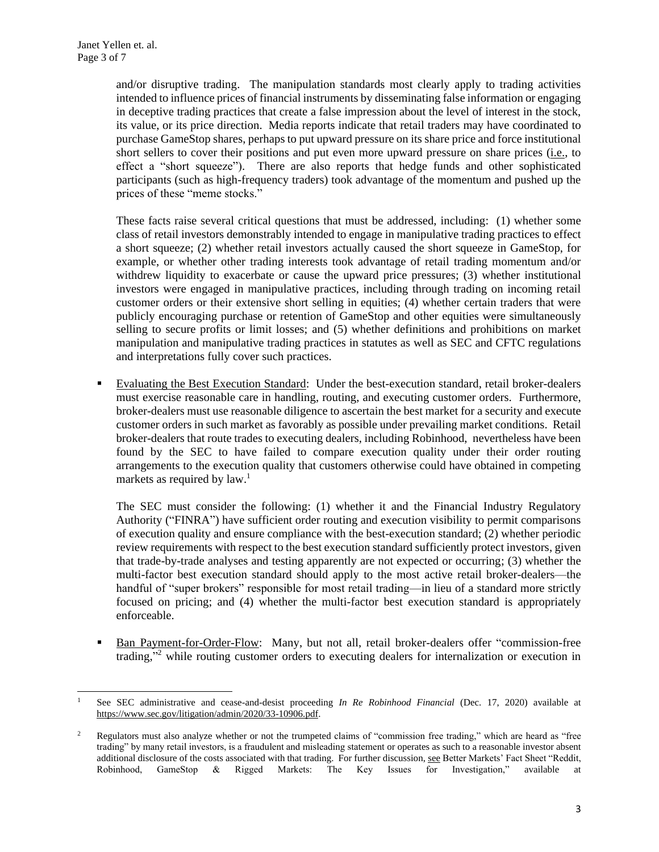and/or disruptive trading. The manipulation standards most clearly apply to trading activities intended to influence prices of financial instruments by disseminating false information or engaging in deceptive trading practices that create a false impression about the level of interest in the stock, its value, or its price direction. Media reports indicate that retail traders may have coordinated to purchase GameStop shares, perhaps to put upward pressure on its share price and force institutional short sellers to cover their positions and put even more upward pressure on share prices (i.e., to effect a "short squeeze"). There are also reports that hedge funds and other sophisticated participants (such as high-frequency traders) took advantage of the momentum and pushed up the prices of these "meme stocks."

These facts raise several critical questions that must be addressed, including: (1) whether some class of retail investors demonstrably intended to engage in manipulative trading practices to effect a short squeeze; (2) whether retail investors actually caused the short squeeze in GameStop, for example, or whether other trading interests took advantage of retail trading momentum and/or withdrew liquidity to exacerbate or cause the upward price pressures; (3) whether institutional investors were engaged in manipulative practices, including through trading on incoming retail customer orders or their extensive short selling in equities; (4) whether certain traders that were publicly encouraging purchase or retention of GameStop and other equities were simultaneously selling to secure profits or limit losses; and (5) whether definitions and prohibitions on market manipulation and manipulative trading practices in statutes as well as SEC and CFTC regulations and interpretations fully cover such practices.

▪ Evaluating the Best Execution Standard: Under the best-execution standard, retail broker-dealers must exercise reasonable care in handling, routing, and executing customer orders. Furthermore, broker-dealers must use reasonable diligence to ascertain the best market for a security and execute customer orders in such market as favorably as possible under prevailing market conditions. Retail broker-dealers that route trades to executing dealers, including Robinhood, nevertheless have been found by the SEC to have failed to compare execution quality under their order routing arrangements to the execution quality that customers otherwise could have obtained in competing markets as required by law.<sup>1</sup>

The SEC must consider the following: (1) whether it and the Financial Industry Regulatory Authority ("FINRA") have sufficient order routing and execution visibility to permit comparisons of execution quality and ensure compliance with the best-execution standard; (2) whether periodic review requirements with respect to the best execution standard sufficiently protect investors, given that trade-by-trade analyses and testing apparently are not expected or occurring; (3) whether the multi-factor best execution standard should apply to the most active retail broker-dealers—the handful of "super brokers" responsible for most retail trading—in lieu of a standard more strictly focused on pricing; and (4) whether the multi-factor best execution standard is appropriately enforceable.

Ban Payment-for-Order-Flow: Many, but not all, retail broker-dealers offer "commission-free trading,"<sup>2</sup> while routing customer orders to executing dealers for internalization or execution in

<sup>1</sup> See SEC administrative and cease-and-desist proceeding *In Re Robinhood Financial* (Dec. 17, 2020) available at [https://www.sec.gov/litigation/admin/2020/33-10906.pdf.](https://www.sec.gov/litigation/admin/2020/33-10906.pdf)

<sup>&</sup>lt;sup>2</sup> Regulators must also analyze whether or not the trumpeted claims of "commission free trading," which are heard as "free trading" by many retail investors, is a fraudulent and misleading statement or operates as such to a reasonable investor absent additional disclosure of the costs associated with that trading. For further discussion, see Better Markets' Fact Sheet "Reddit, Robinhood, GameStop & Rigged Markets: The Key Issues for Investigation," available at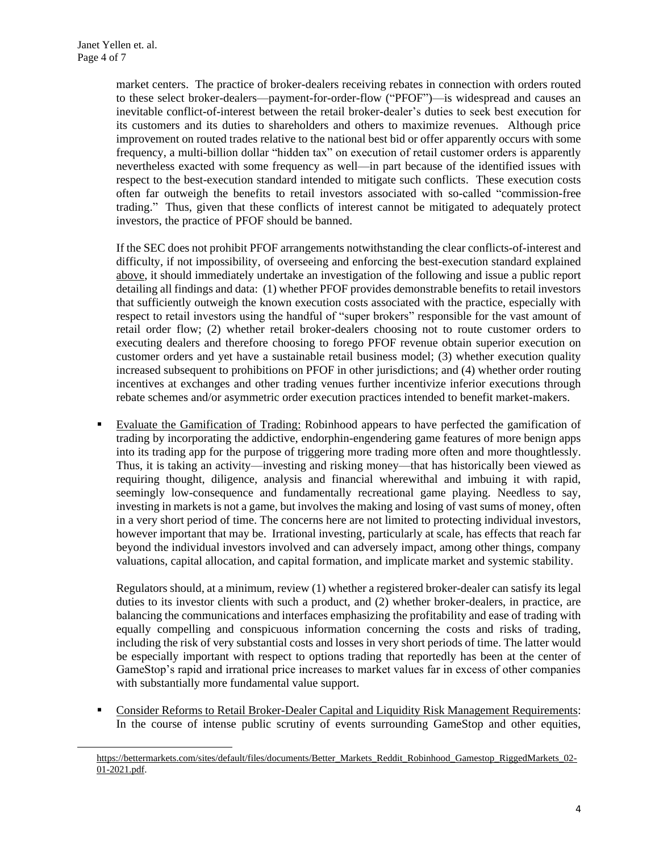market centers. The practice of broker-dealers receiving rebates in connection with orders routed to these select broker-dealers—payment-for-order-flow ("PFOF")—is widespread and causes an inevitable conflict-of-interest between the retail broker-dealer's duties to seek best execution for its customers and its duties to shareholders and others to maximize revenues. Although price improvement on routed trades relative to the national best bid or offer apparently occurs with some frequency, a multi-billion dollar "hidden tax" on execution of retail customer orders is apparently nevertheless exacted with some frequency as well—in part because of the identified issues with respect to the best-execution standard intended to mitigate such conflicts. These execution costs often far outweigh the benefits to retail investors associated with so-called "commission-free trading." Thus, given that these conflicts of interest cannot be mitigated to adequately protect investors, the practice of PFOF should be banned.

If the SEC does not prohibit PFOF arrangements notwithstanding the clear conflicts-of-interest and difficulty, if not impossibility, of overseeing and enforcing the best-execution standard explained above, it should immediately undertake an investigation of the following and issue a public report detailing all findings and data: (1) whether PFOF provides demonstrable benefits to retail investors that sufficiently outweigh the known execution costs associated with the practice, especially with respect to retail investors using the handful of "super brokers" responsible for the vast amount of retail order flow; (2) whether retail broker-dealers choosing not to route customer orders to executing dealers and therefore choosing to forego PFOF revenue obtain superior execution on customer orders and yet have a sustainable retail business model; (3) whether execution quality increased subsequent to prohibitions on PFOF in other jurisdictions; and (4) whether order routing incentives at exchanges and other trading venues further incentivize inferior executions through rebate schemes and/or asymmetric order execution practices intended to benefit market-makers.

Evaluate the Gamification of Trading: Robinhood appears to have perfected the gamification of trading by incorporating the addictive, endorphin-engendering game features of more benign apps into its trading app for the purpose of triggering more trading more often and more thoughtlessly. Thus, it is taking an activity—investing and risking money—that has historically been viewed as requiring thought, diligence, analysis and financial wherewithal and imbuing it with rapid, seemingly low-consequence and fundamentally recreational game playing. Needless to say, investing in markets is not a game, but involves the making and losing of vast sums of money, often in a very short period of time. The concerns here are not limited to protecting individual investors, however important that may be. Irrational investing, particularly at scale, has effects that reach far beyond the individual investors involved and can adversely impact, among other things, company valuations, capital allocation, and capital formation, and implicate market and systemic stability.

Regulators should, at a minimum, review (1) whether a registered broker-dealer can satisfy its legal duties to its investor clients with such a product, and (2) whether broker-dealers, in practice, are balancing the communications and interfaces emphasizing the profitability and ease of trading with equally compelling and conspicuous information concerning the costs and risks of trading, including the risk of very substantial costs and losses in very short periods of time. The latter would be especially important with respect to options trading that reportedly has been at the center of GameStop's rapid and irrational price increases to market values far in excess of other companies with substantially more fundamental value support.

▪ Consider Reforms to Retail Broker-Dealer Capital and Liquidity Risk Management Requirements: In the course of intense public scrutiny of events surrounding GameStop and other equities,

[https://bettermarkets.com/sites/default/files/documents/Better\\_Markets\\_Reddit\\_Robinhood\\_Gamestop\\_RiggedMarkets\\_02-](https://bettermarkets.com/sites/default/files/documents/Better_Markets_Reddit_Robinhood_Gamestop_RiggedMarkets_02-01-2021.pdf) [01-2021.pdf.](https://bettermarkets.com/sites/default/files/documents/Better_Markets_Reddit_Robinhood_Gamestop_RiggedMarkets_02-01-2021.pdf)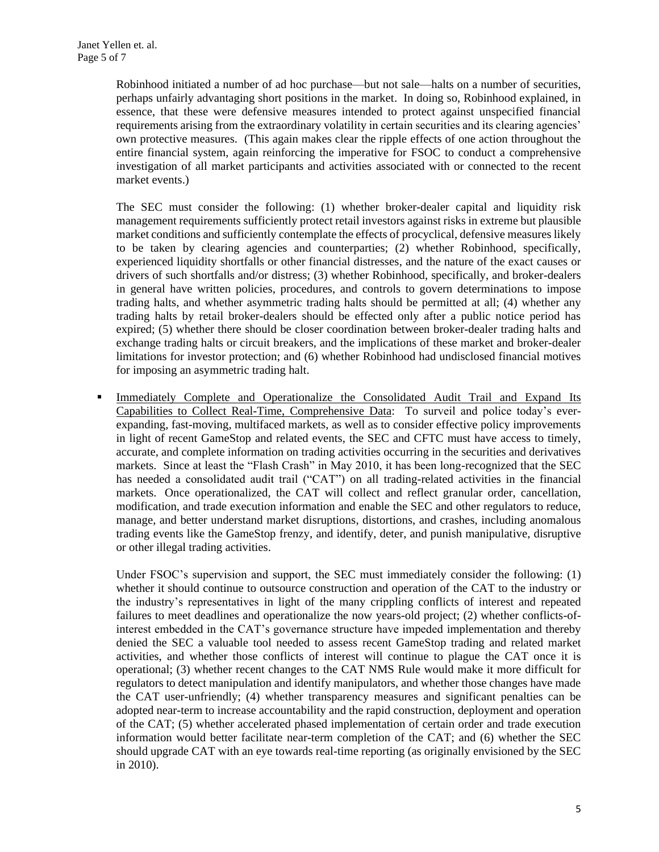Robinhood initiated a number of ad hoc purchase—but not sale—halts on a number of securities, perhaps unfairly advantaging short positions in the market. In doing so, Robinhood explained, in essence, that these were defensive measures intended to protect against unspecified financial requirements arising from the extraordinary volatility in certain securities and its clearing agencies' own protective measures. (This again makes clear the ripple effects of one action throughout the entire financial system, again reinforcing the imperative for FSOC to conduct a comprehensive investigation of all market participants and activities associated with or connected to the recent market events.)

The SEC must consider the following: (1) whether broker-dealer capital and liquidity risk management requirements sufficiently protect retail investors against risks in extreme but plausible market conditions and sufficiently contemplate the effects of procyclical, defensive measures likely to be taken by clearing agencies and counterparties; (2) whether Robinhood, specifically, experienced liquidity shortfalls or other financial distresses, and the nature of the exact causes or drivers of such shortfalls and/or distress; (3) whether Robinhood, specifically, and broker-dealers in general have written policies, procedures, and controls to govern determinations to impose trading halts, and whether asymmetric trading halts should be permitted at all; (4) whether any trading halts by retail broker-dealers should be effected only after a public notice period has expired; (5) whether there should be closer coordination between broker-dealer trading halts and exchange trading halts or circuit breakers, and the implications of these market and broker-dealer limitations for investor protection; and (6) whether Robinhood had undisclosed financial motives for imposing an asymmetric trading halt.

**Immediately Complete and Operationalize the Consolidated Audit Trail and Expand Its** Capabilities to Collect Real-Time, Comprehensive Data: To surveil and police today's everexpanding, fast-moving, multifaced markets, as well as to consider effective policy improvements in light of recent GameStop and related events, the SEC and CFTC must have access to timely, accurate, and complete information on trading activities occurring in the securities and derivatives markets. Since at least the "Flash Crash" in May 2010, it has been long-recognized that the SEC has needed a consolidated audit trail ("CAT") on all trading-related activities in the financial markets. Once operationalized, the CAT will collect and reflect granular order, cancellation, modification, and trade execution information and enable the SEC and other regulators to reduce, manage, and better understand market disruptions, distortions, and crashes, including anomalous trading events like the GameStop frenzy, and identify, deter, and punish manipulative, disruptive or other illegal trading activities.

Under FSOC's supervision and support, the SEC must immediately consider the following: (1) whether it should continue to outsource construction and operation of the CAT to the industry or the industry's representatives in light of the many crippling conflicts of interest and repeated failures to meet deadlines and operationalize the now years-old project; (2) whether conflicts-ofinterest embedded in the CAT's governance structure have impeded implementation and thereby denied the SEC a valuable tool needed to assess recent GameStop trading and related market activities, and whether those conflicts of interest will continue to plague the CAT once it is operational; (3) whether recent changes to the CAT NMS Rule would make it more difficult for regulators to detect manipulation and identify manipulators, and whether those changes have made the CAT user-unfriendly; (4) whether transparency measures and significant penalties can be adopted near-term to increase accountability and the rapid construction, deployment and operation of the CAT; (5) whether accelerated phased implementation of certain order and trade execution information would better facilitate near-term completion of the CAT; and (6) whether the SEC should upgrade CAT with an eye towards real-time reporting (as originally envisioned by the SEC in 2010).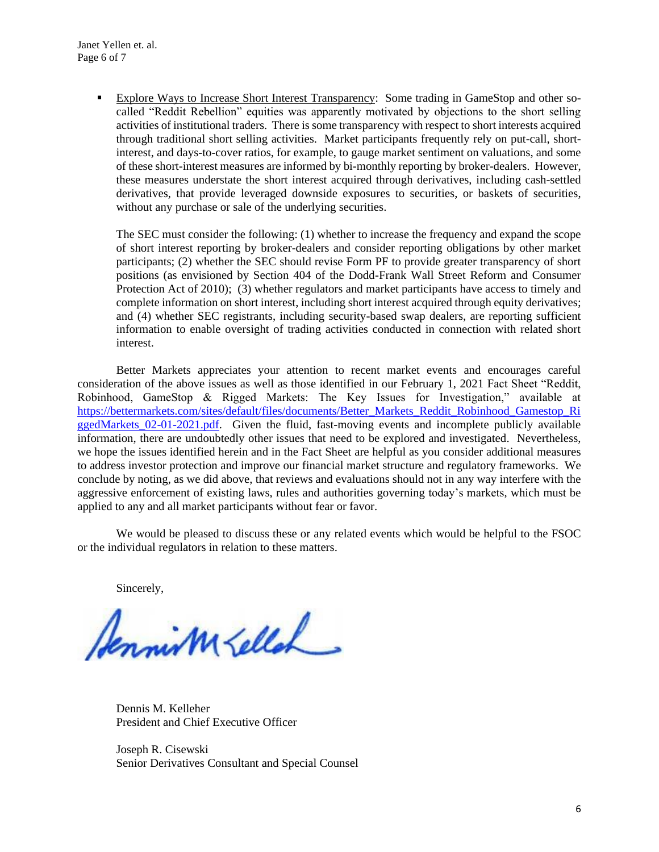▪ Explore Ways to Increase Short Interest Transparency: Some trading in GameStop and other socalled "Reddit Rebellion" equities was apparently motivated by objections to the short selling activities of institutional traders. There is some transparency with respect to short interests acquired through traditional short selling activities. Market participants frequently rely on put-call, shortinterest, and days-to-cover ratios, for example, to gauge market sentiment on valuations, and some of these short-interest measures are informed by bi-monthly reporting by broker-dealers. However, these measures understate the short interest acquired through derivatives, including cash-settled derivatives, that provide leveraged downside exposures to securities, or baskets of securities, without any purchase or sale of the underlying securities.

The SEC must consider the following: (1) whether to increase the frequency and expand the scope of short interest reporting by broker-dealers and consider reporting obligations by other market participants; (2) whether the SEC should revise Form PF to provide greater transparency of short positions (as envisioned by Section 404 of the Dodd-Frank Wall Street Reform and Consumer Protection Act of 2010); (3) whether regulators and market participants have access to timely and complete information on short interest, including short interest acquired through equity derivatives; and (4) whether SEC registrants, including security-based swap dealers, are reporting sufficient information to enable oversight of trading activities conducted in connection with related short interest.

Better Markets appreciates your attention to recent market events and encourages careful consideration of the above issues as well as those identified in our February 1, 2021 Fact Sheet "Reddit, Robinhood, GameStop & Rigged Markets: The Key Issues for Investigation," available at [https://bettermarkets.com/sites/default/files/documents/Better\\_Markets\\_Reddit\\_Robinhood\\_Gamestop\\_Ri](https://bettermarkets.com/sites/default/files/documents/Better_Markets_Reddit_Robinhood_Gamestop_RiggedMarkets_02-01-2021.pdf) [ggedMarkets\\_02-01-2021.pdf.](https://bettermarkets.com/sites/default/files/documents/Better_Markets_Reddit_Robinhood_Gamestop_RiggedMarkets_02-01-2021.pdf) Given the fluid, fast-moving events and incomplete publicly available information, there are undoubtedly other issues that need to be explored and investigated. Nevertheless, we hope the issues identified herein and in the Fact Sheet are helpful as you consider additional measures to address investor protection and improve our financial market structure and regulatory frameworks. We conclude by noting, as we did above, that reviews and evaluations should not in any way interfere with the aggressive enforcement of existing laws, rules and authorities governing today's markets, which must be applied to any and all market participants without fear or favor.

We would be pleased to discuss these or any related events which would be helpful to the FSOC or the individual regulators in relation to these matters.

Sincerely,

Annim Kellah

Dennis M. Kelleher President and Chief Executive Officer

Joseph R. Cisewski Senior Derivatives Consultant and Special Counsel